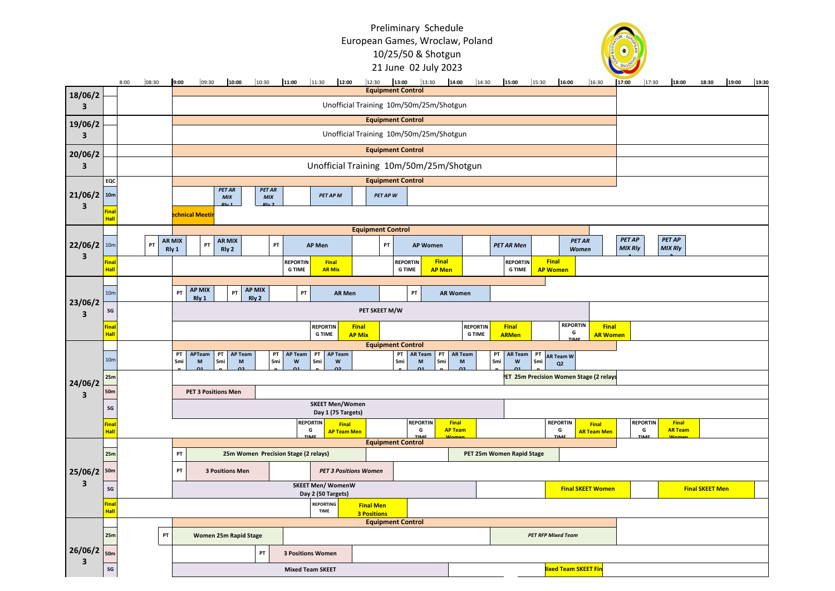## Preliminary Schedule European Games, Wroclaw, Poland 10/25/50 & Shotgun 21 June 02 July 2023



|                                          |                              |                                                |                                                     |                                                                 |                                         |                        |              |                             |                                                                                                                     |                              | 12:00         |                      |                                               |                                |                           |                                                                                                                 |                                  |                 |                             |       |                                 |                         |                                 |       |       |       |
|------------------------------------------|------------------------------|------------------------------------------------|-----------------------------------------------------|-----------------------------------------------------------------|-----------------------------------------|------------------------|--------------|-----------------------------|---------------------------------------------------------------------------------------------------------------------|------------------------------|---------------|----------------------|-----------------------------------------------|--------------------------------|---------------------------|-----------------------------------------------------------------------------------------------------------------|----------------------------------|-----------------|-----------------------------|-------|---------------------------------|-------------------------|---------------------------------|-------|-------|-------|
| 18/06/2                                  |                              | 8:00                                           | 08:30                                               | 9:00                                                            | 09:30                                   | 10:00                  |              | 10:30                       | 11:00                                                                                                               | 11:30                        |               |                      | 12:30 13:00 13:30<br><b>Equipment Control</b> |                                | 14:00                     | 14:30                                                                                                           | 15:00                            | 16:00<br>15:30  |                             | 16:30 | 17:00                           | 17:30                   | 18:00                           | 18:30 | 19:00 | 19:30 |
| 3                                        |                              |                                                |                                                     |                                                                 | Unofficial Training 10m/50m/25m/Shotgun |                        |              |                             |                                                                                                                     |                              |               |                      |                                               |                                |                           |                                                                                                                 |                                  |                 |                             |       |                                 |                         |                                 |       |       |       |
| 19/06/2                                  |                              |                                                |                                                     |                                                                 |                                         |                        |              |                             |                                                                                                                     |                              |               |                      | <b>Equipment Control</b>                      |                                |                           |                                                                                                                 |                                  |                 |                             |       |                                 |                         |                                 |       |       |       |
| $\mathbf{3}$                             |                              |                                                |                                                     |                                                                 |                                         |                        |              |                             |                                                                                                                     |                              |               |                      | Unofficial Training 10m/50m/25m/Shotgun       |                                |                           |                                                                                                                 |                                  |                 |                             |       |                                 |                         |                                 |       |       |       |
| 20/06/2                                  |                              |                                                |                                                     |                                                                 |                                         |                        |              |                             |                                                                                                                     |                              |               |                      | <b>Equipment Control</b>                      |                                |                           |                                                                                                                 |                                  |                 |                             |       |                                 |                         |                                 |       |       |       |
| 3                                        |                              |                                                |                                                     |                                                                 |                                         |                        |              |                             |                                                                                                                     |                              |               |                      | Unofficial Training 10m/50m/25m/Shotgun       |                                |                           |                                                                                                                 |                                  |                 |                             |       |                                 |                         |                                 |       |       |       |
|                                          | EQC                          |                                                |                                                     | <b>Equipment Control</b>                                        |                                         |                        |              |                             |                                                                                                                     |                              |               |                      |                                               |                                |                           |                                                                                                                 |                                  |                 |                             |       |                                 |                         |                                 |       |       |       |
| 21/06/2                                  | 10 <sub>m</sub>              |                                                |                                                     |                                                                 |                                         | <b>PET AR</b><br>MIX   |              | <b>PET AR</b><br><b>MIX</b> |                                                                                                                     | PET AP M                     |               | PET AP W             |                                               |                                |                           |                                                                                                                 |                                  |                 |                             |       |                                 |                         |                                 |       |       |       |
| $\overline{\mathbf{3}}$                  | Final<br><b>Hall</b>         |                                                |                                                     |                                                                 | echnical Meetir                         |                        |              |                             |                                                                                                                     |                              |               |                      |                                               |                                |                           |                                                                                                                 |                                  |                 |                             |       |                                 |                         |                                 |       |       |       |
|                                          |                              |                                                |                                                     | <b>Equipment Control</b>                                        |                                         |                        |              |                             |                                                                                                                     |                              |               |                      |                                               |                                |                           |                                                                                                                 |                                  |                 |                             |       |                                 |                         |                                 |       |       |       |
| $22/06/2$ 10m<br>$\overline{\mathbf{3}}$ |                              |                                                | PT                                                  | <b>AR MIX</b><br>Rly 1                                          | PT                                      | <b>AR MIX</b><br>Rly 2 |              | PT                          |                                                                                                                     | <b>AP Men</b>                |               |                      | PT                                            | <b>AP Women</b>                |                           |                                                                                                                 | <b>PET AR Men</b>                |                 | <b>PET AR</b><br>Women      |       | <b>PET AP</b><br><b>MIX Rly</b> |                         | <b>PET AP</b><br><b>MIX Rly</b> |       |       |       |
|                                          | Final<br><b>Hall</b>         |                                                |                                                     |                                                                 |                                         |                        |              |                             | <b>REPORTIN</b><br><b>G TIME</b>                                                                                    | Final<br><b>AR Mix</b>       |               |                      | <b>REPORTIN</b><br><b>G TIME</b>              | <b>Final</b>                   |                           |                                                                                                                 | <b>REPORTIN</b><br><b>G TIME</b> | <b>Final</b>    |                             |       |                                 |                         |                                 |       |       |       |
|                                          |                              |                                                |                                                     |                                                                 |                                         |                        |              |                             |                                                                                                                     |                              |               |                      |                                               | <b>AP Men</b>                  |                           |                                                                                                                 |                                  | <b>AP Women</b> |                             |       |                                 |                         |                                 |       |       |       |
| 23/06/2<br>$\overline{\mathbf{3}}$       | 10 <sub>m</sub>              |                                                |                                                     | PT                                                              | <b>AP MIX</b><br>Rly 1                  | PT                     |              | <b>AP MIX</b>               | PT                                                                                                                  |                              | <b>AR Men</b> |                      | PT                                            |                                | <b>AR Women</b>           |                                                                                                                 |                                  |                 |                             |       |                                 |                         |                                 |       |       |       |
|                                          | $\operatorname{\sf SG}$      |                                                |                                                     | Rly 2<br>PET SKEET M/W                                          |                                         |                        |              |                             |                                                                                                                     |                              |               |                      |                                               |                                |                           |                                                                                                                 |                                  |                 |                             |       |                                 |                         |                                 |       |       |       |
|                                          | <b>Final</b>                 |                                                |                                                     | <b>Final</b><br><b>REPORTIN</b>                                 |                                         |                        |              |                             |                                                                                                                     |                              |               |                      | <b>REPORTIN</b>                               |                                | <b>Final</b>              |                                                                                                                 | <b>REPORTIN</b><br>G             | <b>Final</b>    |                             |       |                                 |                         |                                 |       |       |       |
|                                          | <b>Hall</b>                  |                                                |                                                     | <b>G TIME</b><br><b>AP Mix</b><br><b>Equipment Control</b>      |                                         |                        |              |                             |                                                                                                                     |                              |               |                      |                                               | <b>G TIME</b>                  |                           | <b>ARMen</b>                                                                                                    |                                  |                 | <b>AR Women</b>             |       |                                 |                         |                                 |       |       |       |
|                                          | 10 <sub>m</sub>              |                                                |                                                     | PT<br>5mi                                                       | APTeam<br>M                             | PT<br>5mi              | AP Team<br>M |                             | PT<br><b>AP Team</b><br>AP Team<br>PT<br><b>AR Team</b><br>PT<br>5mi<br>5mi<br>$\mathsf{w}$<br>5mi<br>W<br>M<br>5mi |                              |               |                      |                                               |                                | PT AR Team                | <b>AR Team</b><br>PT<br>PT<br><b>AR Team W</b><br>$\mathsf{M}\xspace$<br>5mi<br>$\mathbf{M}$<br>5 <sub>mi</sub> |                                  |                 |                             |       |                                 |                         |                                 |       |       |       |
|                                          | 25m                          |                                                |                                                     | Q <sub>2</sub><br><b>ET 25m Precision Women Stage (2 relays</b> |                                         |                        |              |                             |                                                                                                                     |                              |               |                      |                                               |                                |                           |                                                                                                                 |                                  |                 |                             |       |                                 |                         |                                 |       |       |       |
| 24/06/2                                  | 50 <sub>m</sub>              |                                                |                                                     | <b>PET 3 Positions Men</b>                                      |                                         |                        |              |                             |                                                                                                                     |                              |               |                      |                                               |                                |                           |                                                                                                                 |                                  |                 |                             |       |                                 |                         |                                 |       |       |       |
| $\overline{\mathbf{3}}$                  |                              |                                                |                                                     | <b>SKEET Men/Women</b>                                          |                                         |                        |              |                             |                                                                                                                     |                              |               |                      |                                               |                                |                           |                                                                                                                 |                                  |                 |                             |       |                                 |                         |                                 |       |       |       |
|                                          | $\operatorname{\mathsf{SG}}$ |                                                |                                                     | Day 1 (75 Targets)                                              |                                         |                        |              |                             |                                                                                                                     |                              |               |                      |                                               |                                |                           |                                                                                                                 |                                  |                 |                             |       |                                 |                         |                                 |       |       |       |
|                                          | <b>Final</b><br><b>Hall</b>  |                                                |                                                     |                                                                 |                                         |                        |              |                             | <b>REPORTIN</b><br>G                                                                                                | Final<br><b>AP Team Men</b>  |               | <b>REPORTIN</b><br>G |                                               | <b>Final</b><br><b>AP Team</b> |                           |                                                                                                                 | <b>REPORTIN</b><br>G             |                 | Final<br><b>AR Team Men</b> |       | <b>REPORTIN</b><br>G            | Final<br><b>AR Team</b> |                                 |       |       |       |
|                                          |                              |                                                |                                                     | <b>Equipment Control</b>                                        |                                         |                        |              |                             |                                                                                                                     |                              |               |                      |                                               |                                |                           |                                                                                                                 |                                  |                 |                             |       |                                 |                         |                                 |       |       |       |
|                                          | 25m                          |                                                |                                                     | PT<br>25m Women Precision Stage (2 relays)                      |                                         |                        |              |                             |                                                                                                                     |                              |               |                      |                                               | PET 25m Women Rapid Stage      |                           |                                                                                                                 |                                  |                 |                             |       |                                 |                         |                                 |       |       |       |
| 25/06/2                                  | 50 <sub>m</sub>              |                                                |                                                     | PT<br><b>3 Positions Men</b>                                    |                                         |                        |              |                             |                                                                                                                     | <b>PET 3 Positions Women</b> |               |                      |                                               |                                |                           |                                                                                                                 |                                  |                 |                             |       |                                 |                         |                                 |       |       |       |
| $\overline{\mathbf{3}}$                  | SG                           |                                                |                                                     | <b>SKEET Men/ WomenW</b><br>Day 2 (50 Targets)                  |                                         |                        |              |                             |                                                                                                                     |                              |               |                      |                                               |                                |                           |                                                                                                                 | <b>Final SKEET Women</b>         |                 |                             |       | <b>Final SKEET Men</b>          |                         |                                 |       |       |       |
|                                          | <b>Final</b><br><b>Hall</b>  |                                                | <b>REPORTING</b><br><b>Final Men</b><br><b>TIME</b> |                                                                 |                                         |                        |              |                             |                                                                                                                     |                              |               |                      |                                               |                                |                           |                                                                                                                 |                                  |                 |                             |       |                                 |                         |                                 |       |       |       |
|                                          |                              | <b>3 Positions</b><br><b>Equipment Control</b> |                                                     |                                                                 |                                         |                        |              |                             |                                                                                                                     |                              |               |                      |                                               |                                |                           |                                                                                                                 |                                  |                 |                             |       |                                 |                         |                                 |       |       |       |
|                                          | 25m                          |                                                | PT                                                  |                                                                 |                                         | Women 25m Rapid Stage  |              |                             |                                                                                                                     |                              |               |                      |                                               |                                | <b>PET RFP Mixed Team</b> |                                                                                                                 |                                  |                 |                             |       |                                 |                         |                                 |       |       |       |
| 26/06/2                                  | 50m                          |                                                |                                                     | PT<br><b>3 Positions Women</b>                                  |                                         |                        |              |                             |                                                                                                                     |                              |               |                      |                                               |                                |                           |                                                                                                                 |                                  |                 |                             |       |                                 |                         |                                 |       |       |       |
| 3                                        | $\operatorname{\mathsf{SG}}$ |                                                |                                                     | <b>Mixed Team SKEET</b>                                         |                                         |                        |              |                             |                                                                                                                     |                              |               |                      |                                               |                                |                           |                                                                                                                 | lixed Team SKEET Fin             |                 |                             |       |                                 |                         |                                 |       |       |       |